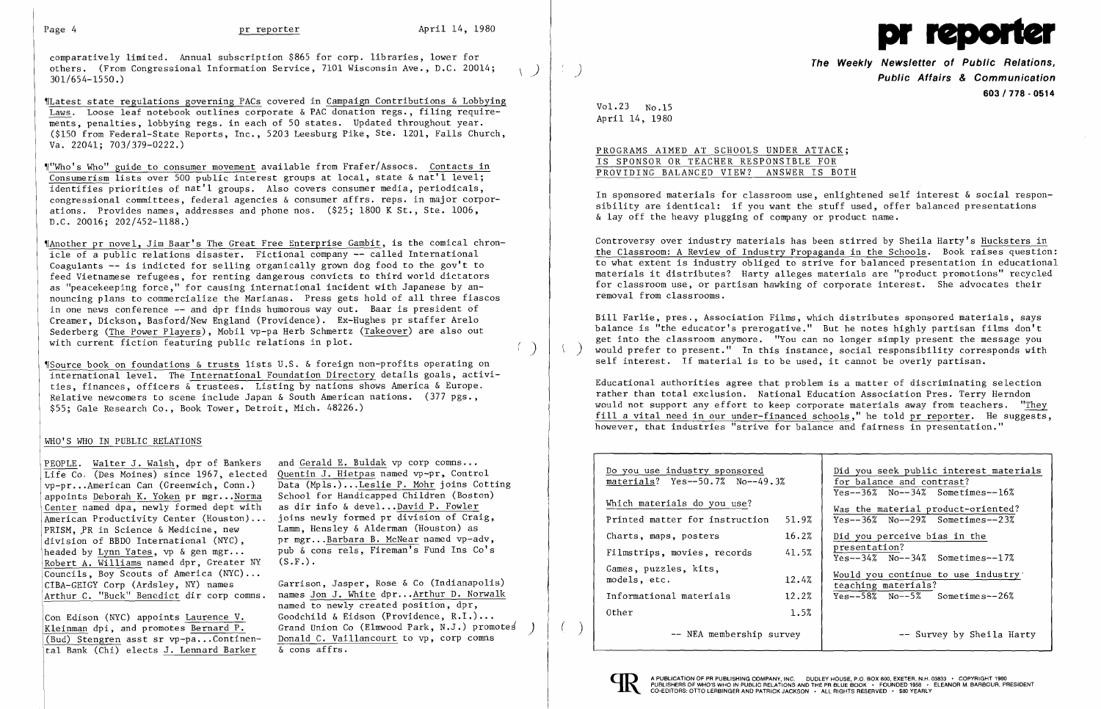comparatively limited. Annual subscription \$865 for corp. libraries, lower for others. (From Congressional Information Service, 7101 Wisconsin Ave., D.C. 20014;<br>301/654-1550.)

'fLatest state regulations governing PACs covered in Campaign Contributions & Lobbying Laws. Loose leaf notebook outlines corporate & PAC donation regs., filing requirements, penalties, lobbying regs. in each of 50 states. Updated throughout year. (\$150 from Federal-State Reports, Inc., 5203 Leesburg Pike, Ste. 1201, Falls Church, Va. 22041; 703/379-0222.)

'IAnother pr novel, Jim Baar's The Great Free Enterprise Gambit, is the comical chronicle of a public relations disaster. Fictional company -- called International Coagulants -- is indicted for selling organically grown dog food to the gov't to feed Vietnamese refugees, for renting dangerous convicts to third world dictators as "peacekeeping force," for causing international incident with Japanese by announcing plans to commercialize the Marianas. Press gets hold of all three fiascos in one news conference -- and dpr finds humorous way out. Baar is president of Creamer, Dickson, Basford/New England (Providence). Ex-Hughes pr staffer Arelo Sederberg (The Power Players), Mobil vp-pa Herb Schmertz (Takeover) are also out with current fiction featuring public relations in plot.  $( )$ 

'l"Who's Who" guide to consumer movement available from Frafer/Assocs. Contacts in Consumerism lists over 500 public interest groups at local, state  $\&$  nat'l level; identifies priorities of nat'l groups. Also covers consumer media, periodicals, congressional committees, federal agencies & consumer affrs. reps. in major corporations. Provides names, addresses and phone nos. (\$25; 1800 K St., Ste. 1006, D.C. 20016; 202/452-1188.)

'ISource book on foundations & trusts lists U.S. & foreign non-profits operating on international level. The International Foundation Directory details goals, activities, finances, officers & trustees. Listing by nations shows America & Europe. Relative newcomers to scene include Japan & South American nations. (377 pgs. , \$55; Gale Research Co., Book Tower, Detroit, Mich. 48226.)

# WHO'S WHO IN PUBLIC RELATIONS

PEOPLE. Walter J. Walsh, dpr of Bankers Life Co, (Des Moines) since 1967, elected vp-pr...American Can (Greenwich, Conn.) appoints Deborah K. Yoken pr mgr...Norma Center named dpa, newly formed dept with American Productivity Center (Houston) ... PRISM. PR in Science & Medicine, new division of BBDO International (NYC), headed by Lynn Yates, vp  $\&$  gen mgr... Robert A. Williams named dpr, Greater NY Councils, Boy Scouts of America (NYC) ... CIBA-GEIGY Corp (Ardsley, NY) names Arthur C. "Buck" Benedict dir corp comns.

Con Edison (NYC) appoints Laurence V. Kleinman dpi, and promotes Bernard P. (Bud) Stengren asst sr  $vp-pa...$ Continental Bank (Chi) elects J. Lennard Barker

and Gerald E. Buldak vp corp comns... Quentin J. Hietpas named vp-pr, Control Data (Mpls.)...Leslie P. Mohr joins Cotting School for Handicapped Children (Boston) as dir info & devel ...David P. Fowler joins newly formed pr division of Craig, Lamm, Hensley & Alderman (Houston) as pr mgr...Barbara B. McNear named vp-adv. pub & cons rels, Fireman's Fund Ins Co's  $(S.F.)$ .

Garrison, Jasper, Rose & Co (Indianapolis) names Jon J. White dpr...Arthur D. Norwalk named to newly created position, dpr, Goodchild & Eidson (Providence, R.I.) ... Grand Union Co (Elmwood Park, N.J.) promotes<br>Donald C. Vaillancourt to vp, corp comns & cons affrs.



**The Weekly Newsletter of Public Relations,** ) **Public Affairs & Communication 603/778·0514** 

Vol. 23 No.15 April 14, 1980

PROGRAMS AIMED AT SCHOOLS UNDER ATTACK; IS SPONSOR OR TEACHER RESPONSIBLE FOR PROVIDING BALANCED VIEW? ANSWER IS BOTH

In sponsored materials for classroom use, enlightened self interest & social responsibility are identical: if you want the stuff used, offer balanced presentations & layoff the heavy plugging of company or product name.

Controversy over industry materials has been stirred by Sheila Harty's Hucksters in the Classroom: A Review of Industry Propaganda in the Schools. Book raises question: to what extent is industry obliged to strive for balanced presentation in educational materials it distributes? Harty alleges materials are "product promotions" recycled for classroom use, or partisan hawking of corporate interest. She advocates their removal from classrooms.

Bill Farlie, pres., Association Films, which distributes sponsored materials, says balance is "the educator's prerogative." But he notes highly partisan films don't get into the classroom anymore. "You can no longer simply present the message you Would prefer to present." In this instance, social responsibility corresponds with self interest. If material is to be used, it cannot be overly partisan.

Educational authorities agree that problem is a matter of discriminating selection rather than total exclusion. National Education Association Pres. Terry Herndon would not support any effort to keep corporate materials away from teachers. "They fill a vital need in our under-financed schools," he told pr reporter. He suggests, however, that industries "strive for balance and fairness in presentation."

| Do you use industry sponsored<br>materials? Yes--50.7% No--49.3% |       |
|------------------------------------------------------------------|-------|
| Which materials do you use?                                      |       |
| Printed matter for instruction                                   | 51.9% |
| Charts, maps, posters                                            | 16.2% |
| Filmstrips, movies, records                                      | 41.5% |
| Games, puzzles, kits,                                            |       |
| models, etc.                                                     | 12.4% |
| Informational materials                                          | 12.2% |
| Other                                                            | 1.5%  |
|                                                                  |       |

-- NEA membership survey



(

Did you seek public interest materials for balance and contrast?  $Yes--36\%$  No- $-34\%$  Sometimes- $-16\%$ Was the material product-oriented? Yes--36% No--29% Sometimes--23% Did you perceive bias in the presentation? Yes--34% No--34% Sometimes--17% Would you continue to use industry' teaching materials? ٦  $Yes--58%$  No- $-5%$  Sometimes--26% -- Survey by Sheila Harty